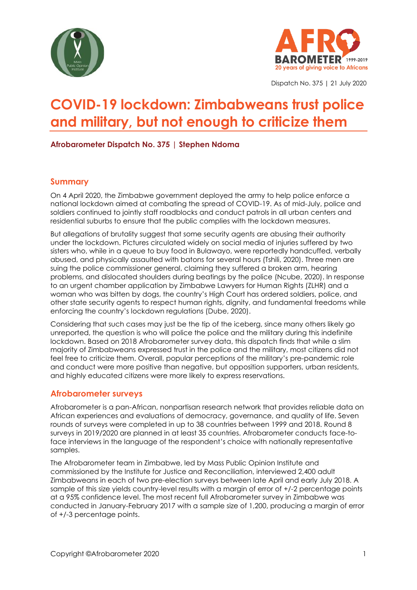



Dispatch No. 375 | 21 July 2020

# **COVID-19 lockdown: Zimbabweans trust police and military, but not enough to criticize them**

**Afrobarometer Dispatch No. 375 | Stephen Ndoma**

#### **Summary**

On 4 April 2020, the Zimbabwe government deployed the army to help police enforce a national lockdown aimed at combating the spread of COVID-19. As of mid-July, police and soldiers continued to jointly staff roadblocks and conduct patrols in all urban centers and residential suburbs to ensure that the public complies with the lockdown measures.

But allegations of brutality suggest that some security agents are abusing their authority under the lockdown. Pictures circulated widely on social media of injuries suffered by two sisters who, while in a queue to buy food in Bulawayo, were reportedly handcuffed, verbally abused, and physically assaulted with batons for several hours (Tshili, 2020). Three men are suing the police commissioner general, claiming they suffered a broken arm, hearing problems, and dislocated shoulders during beatings by the police (Ncube, 2020). In response to an urgent chamber application by Zimbabwe Lawyers for Human Rights (ZLHR) and a woman who was bitten by dogs, the country's High Court has ordered soldiers, police, and other state security agents to respect human rights, dignity, and fundamental freedoms while enforcing the country's lockdown regulations (Dube, 2020).

Considering that such cases may just be the tip of the iceberg, since many others likely go unreported, the question is who will police the police and the military during this indefinite lockdown. Based on 2018 Afrobarometer survey data, this dispatch finds that while a slim majority of Zimbabweans expressed trust in the police and the military, most citizens did not feel free to criticize them. Overall, popular perceptions of the military's pre-pandemic role and conduct were more positive than negative, but opposition supporters, urban residents, and highly educated citizens were more likely to express reservations.

#### **Afrobarometer surveys**

Afrobarometer is a pan-African, nonpartisan research network that provides reliable data on African experiences and evaluations of democracy, governance, and quality of life. Seven rounds of surveys were completed in up to 38 countries between 1999 and 2018. Round 8 surveys in 2019/2020 are planned in at least 35 countries. Afrobarometer conducts face-toface interviews in the language of the respondent's choice with nationally representative samples.

The Afrobarometer team in Zimbabwe, led by Mass Public Opinion Institute and commissioned by the Institute for Justice and Reconciliation, interviewed 2,400 adult Zimbabweans in each of two pre-election surveys between late April and early July 2018. A sample of this size yields country-level results with a margin of error of +/-2 percentage points at a 95% confidence level. The most recent full Afrobarometer survey in Zimbabwe was conducted in January-February 2017 with a sample size of 1,200, producing a margin of error of +/-3 percentage points.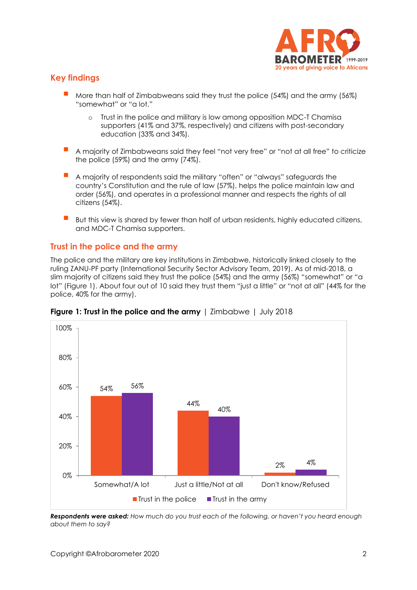

# **Key findings**

- More than half of Zimbabweans said they trust the police (54%) and the army (56%) "somewhat" or "a lot."
	- o Trust in the police and military is low among opposition MDC-T Chamisa supporters (41% and 37%, respectively) and citizens with post-secondary education (33% and 34%).
- A maiority of Zimbabweans said they feel "not very free" or "not at all free" to criticize the police (59%) and the army (74%).
- A majority of respondents said the military "often" or "always" safeguards the country's Constitution and the rule of law (57%), helps the police maintain law and order (56%), and operates in a professional manner and respects the rights of all citizens (54%).
- But this view is shared by fewer than half of urban residents, highly educated citizens, and MDC-T Chamisa supporters.

#### **Trust in the police and the army**

The police and the military are key institutions in Zimbabwe, historically linked closely to the ruling ZANU-PF party (International Security Sector Advisory Team, 2019). As of mid-2018, a slim majority of citizens said they trust the police (54%) and the army (56%) "somewhat" or "a lot" (Figure 1). About four out of 10 said they trust them "just a little" or "not at all" (44% for the police, 40% for the army).



**Figure 1: Trust in the police and the army** | Zimbabwe | July 2018

*Respondents were asked: How much do you trust each of the following, or haven't you heard enough about them to say?*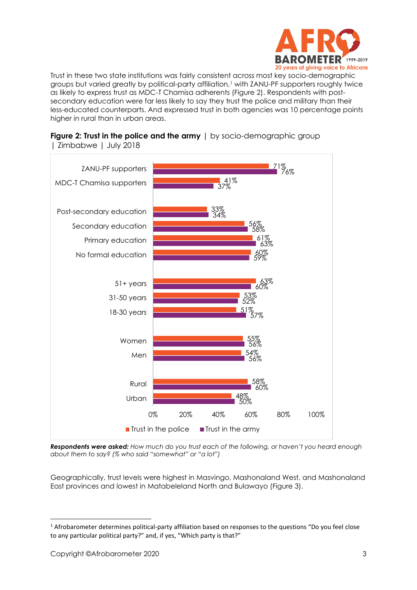

Trust in these two state institutions was fairly consistent across most key socio-demographic groups but varied greatly by political-party affiliation,<sup>1</sup> with ZANU-PF supporters roughly twice as likely to express trust as MDC-T Chamisa adherents (Figure 2). Respondents with postsecondary education were far less likely to say they trust the police and military than their less-educated counterparts. And expressed trust in both agencies was 10 percentage points higher in rural than in urban areas.





*Respondents were asked: How much do you trust each of the following, or haven't you heard enough about them to say? (% who said "somewhat" or "a lot")*

Geographically, trust levels were highest in Masvingo, Mashonaland West, and Mashonaland East provinces and lowest in Matabeleland North and Bulawayo (Figure 3).

<sup>1</sup> Afrobarometer determines political-party affiliation based on responses to the questions "Do you feel close to any particular political party?" and, if yes, "Which party is that?"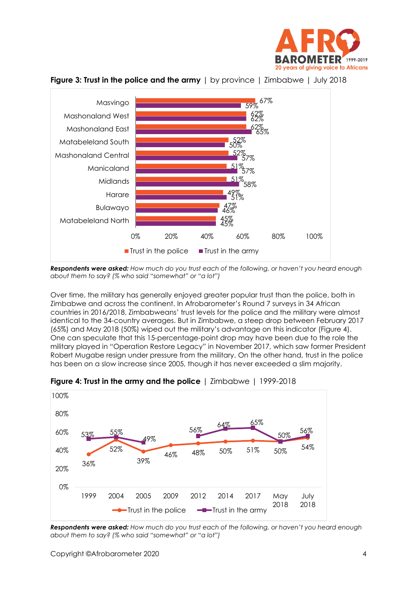



**Figure 3: Trust in the police and the army** | by province | Zimbabwe | July 2018

*Respondents were asked: How much do you trust each of the following, or haven't you heard enough about them to say? (% who said "somewhat" or "a lot")*

Over time, the military has generally enjoyed greater popular trust than the police, both in Zimbabwe and across the continent. In Afrobarometer's Round 7 surveys in 34 African countries in 2016/2018, Zimbabweans' trust levels for the police and the military were almost identical to the 34-country averages. But in Zimbabwe, a steep drop between February 2017 (65%) and May 2018 (50%) wiped out the military's advantage on this indicator (Figure 4). One can speculate that this 15-percentage-point drop may have been due to the role the military played in "Operation Restore Legacy" in November 2017, which saw former President Robert Mugabe resign under pressure from the military. On the other hand, trust in the police has been on a slow increase since 2005, though it has never exceeded a slim majority.



**Figure 4: Trust in the army and the police** | Zimbabwe | 1999-2018

*Respondents were asked: How much do you trust each of the following, or haven't you heard enough about them to say? (% who said "somewhat" or "a lot")*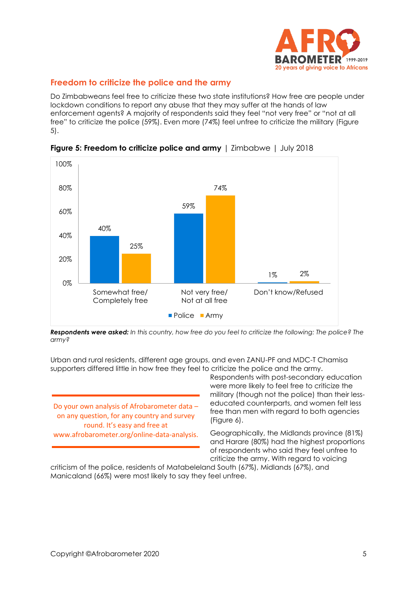

# **Freedom to criticize the police and the army**

Do Zimbabweans feel free to criticize these two state institutions? How free are people under lockdown conditions to report any abuse that they may suffer at the hands of law enforcement agents? A majority of respondents said they feel "not very free" or "not at all free" to criticize the police (59%). Even more (74%) feel unfree to criticize the military (Figure 5).



**Figure 5: Freedom to criticize police and army** | Zimbabwe | July 2018

*Respondents were asked: In this country, how free do you feel to criticize the following: The police? The army?*

Urban and rural residents, different age groups, and even ZANU-PF and MDC-T Chamisa supporters differed little in how free they feel to criticize the police and the army.

Do your own analysis of Afrobarometer data – on any question, for any country and survey round. It's easy and free at www.afrobarometer.org/online-data-analysis. Respondents with post-secondary education were more likely to feel free to criticize the military (though not the police) than their lesseducated counterparts, and women felt less free than men with regard to both agencies (Figure 6).

Geographically, the Midlands province (81%) and Harare (80%) had the highest proportions of respondents who said they feel unfree to criticize the army. With regard to voicing

criticism of the police, residents of Matabeleland South (67%), Midlands (67%), and Manicaland (66%) were most likely to say they feel unfree.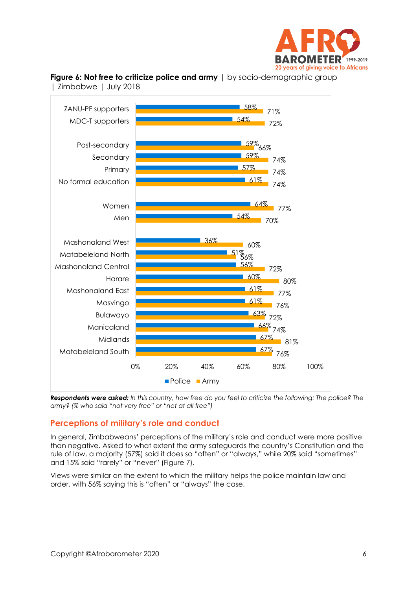



**Figure 6: Not free to criticize police and army**  $|$  by socio-demographic group | Zimbabwe | July 2018

*Respondents were asked: In this country, how free do you feel to criticize the following: The police? The army? (% who said "not very free" or "not at all free")*

## **Perceptions of military's role and conduct**

In general, Zimbabweans' perceptions of the military's role and conduct were more positive than negative. Asked to what extent the army safeguards the country's Constitution and the rule of law, a majority (57%) said it does so "often" or "always," while 20% said "sometimes" and 15% said "rarely" or "never" (Figure 7).

Views were similar on the extent to which the military helps the police maintain law and order, with 56% saying this is "often" or "always" the case.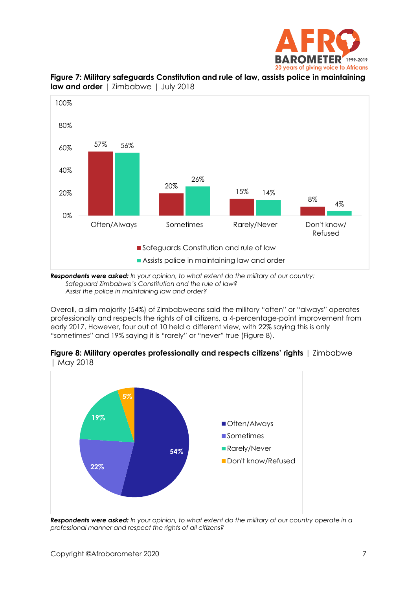



**Figure 7: Military safeguards Constitution and rule of law, assists police in maintaining law and order** | Zimbabwe | July 2018

*Respondents were asked: In your opinion, to what extent do the military of our country: Safeguard Zimbabwe's Constitution and the rule of law? Assist the police in maintaining law and order?*

Overall, a slim majority (54%) of Zimbabweans said the military "often" or "always" operates professionally and respects the rights of all citizens, a 4-percentage-point improvement from early 2017. However, four out of 10 held a different view, with 22% saying this is only "sometimes" and 19% saying it is "rarely" or "never" true (Figure 8).





*Respondents were asked: In your opinion, to what extent do the military of our country operate in a professional manner and respect the rights of all citizens?*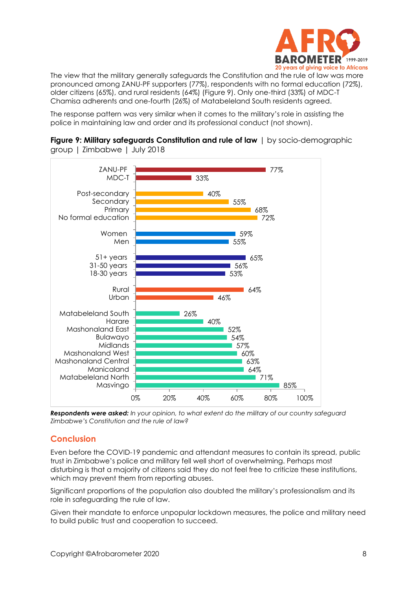

The view that the military generally safeguards the Constitution and the rule of law was more pronounced among ZANU-PF supporters (77%), respondents with no formal education (72%), older citizens (65%), and rural residents (64%) (Figure 9). Only one-third (33%) of MDC-T Chamisa adherents and one-fourth (26%) of Matabeleland South residents agreed.

The response pattern was very similar when it comes to the military's role in assisting the police in maintaining law and order and its professional conduct (not shown).



**Figure 9: Military safeguards Constitution and rule of law** | by socio-demographic group | Zimbabwe | July 2018

*Respondents were asked: In your opinion, to what extent do the military of our country safeguard Zimbabwe's Constitution and the rule of law?*

## **Conclusion**

Even before the COVID-19 pandemic and attendant measures to contain its spread, public trust in Zimbabwe's police and military fell well short of overwhelming. Perhaps most disturbing is that a majority of citizens said they do not feel free to criticize these institutions, which may prevent them from reporting abuses.

Significant proportions of the population also doubted the military's professionalism and its role in safeguarding the rule of law.

Given their mandate to enforce unpopular lockdown measures, the police and military need to build public trust and cooperation to succeed.